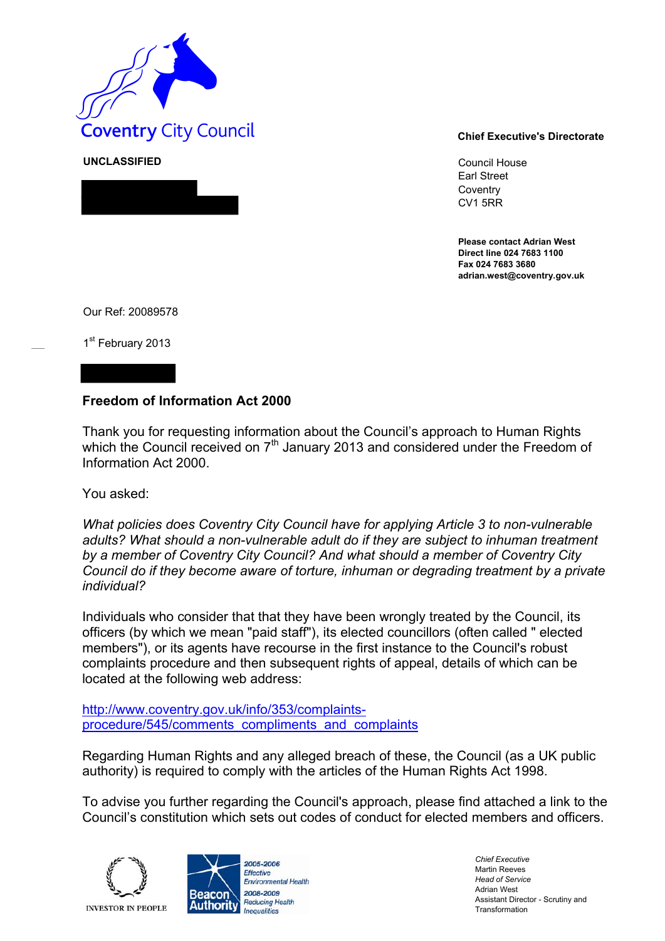

Council House Earl Street **Coventry** CV1 5RR

**Please contact Adrian West Direct line 024 7683 1100 Fax 024 7683 3680 adrian.west@coventry.gov.uk** 

Our Ref: 20089578

**UNCLASSIFIED** 

1<sup>st</sup> February 2013

## **Freedom of Information Act 2000**

Thank you for requesting information about the Council's approach to Human Rights which the Council received on 7<sup>th</sup> January 2013 and considered under the Freedom of Information Act 2000.

You asked:

*What policies does Coventry City Council have for applying Article 3 to non-vulnerable adults? What should a non-vulnerable adult do if they are subject to inhuman treatment by a member of Coventry City Council? And what should a member of Coventry City Council do if they become aware of torture, inhuman or degrading treatment by a private individual?* 

Individuals who consider that that they have been wrongly treated by the Council, its officers (by which we mean "paid staff"), its elected councillors (often called " elected members"), or its agents have recourse in the first instance to the Council's robust complaints procedure and then subsequent rights of appeal, details of which can be located at the following web address:

http://www.coventry.gov.uk/info/353/complaintsprocedure/545/comments\_compliments\_and\_complaints

Regarding Human Rights and any alleged breach of these, the Council (as a UK public authority) is required to comply with the articles of the Human Rights Act 1998.

To advise you further regarding the Council's approach, please find attached a link to the Council's constitution which sets out codes of conduct for elected members and officers.





*Chief Executive*  Martin Reeves *Head of Service*  Adrian West Assistant Director - Scrutiny and Transformation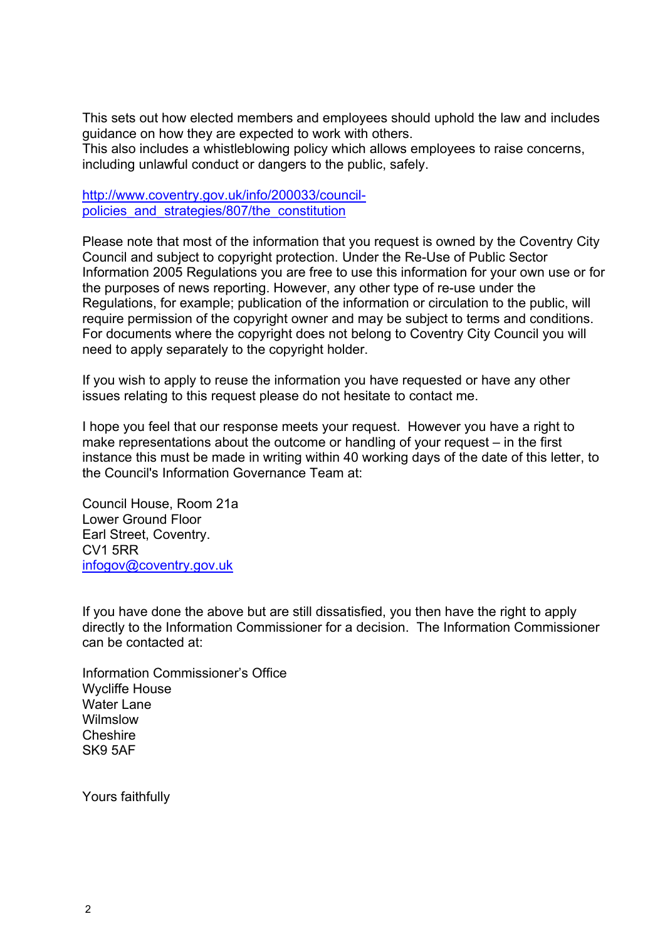This sets out how elected members and employees should uphold the law and includes guidance on how they are expected to work with others. This also includes a whistleblowing policy which allows employees to raise concerns, including unlawful conduct or dangers to the public, safely.

http://www.coventry.gov.uk/info/200033/councilpolicies and strategies/807/the constitution

Please note that most of the information that you request is owned by the Coventry City Council and subject to copyright protection. Under the Re-Use of Public Sector Information 2005 Regulations you are free to use this information for your own use or for the purposes of news reporting. However, any other type of re-use under the Regulations, for example; publication of the information or circulation to the public, will require permission of the copyright owner and may be subject to terms and conditions. For documents where the copyright does not belong to Coventry City Council you will need to apply separately to the copyright holder.

If you wish to apply to reuse the information you have requested or have any other issues relating to this request please do not hesitate to contact me.

I hope you feel that our response meets your request. However you have a right to make representations about the outcome or handling of your request – in the first instance this must be made in writing within 40 working days of the date of this letter, to the Council's Information Governance Team at:

Council House, Room 21a Lower Ground Floor Earl Street, Coventry. CV1 5RR infogov@coventry.gov.uk

If you have done the above but are still dissatisfied, you then have the right to apply directly to the Information Commissioner for a decision. The Information Commissioner can be contacted at:

Information Commissioner's Office Wycliffe House Water Lane **Wilmslow** Cheshire SK9 5AF

Yours faithfully